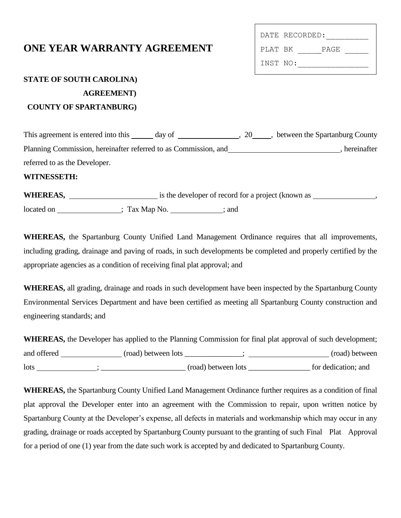## **ONE YEAR WARRANTY AGREEMENT**

|          | DATE RECORDED: |  |
|----------|----------------|--|
| PLAT RK  | PAGE.          |  |
| INST NO: |                |  |

# **STATE OF SOUTH CAROLINA) AGREEMENT) COUNTY OF SPARTANBURG)**

This agreement is entered into this \_\_\_\_\_ day of \_\_\_\_\_\_\_\_\_\_\_\_\_\_\_\_\_\_\_\_\_, 20\_\_\_\_\_, between the Spartanburg County Planning Commission, hereinafter referred to as Commission, and , hereinafter referred to as the Developer.

#### **WITNESSETH:**

**WHEREAS,** is the developer of record for a project (known as , located on  $; Tax Map No. ; and$ 

**WHEREAS,** the Spartanburg County Unified Land Management Ordinance requires that all improvements, including grading, drainage and paving of roads, in such developments be completed and properly certified by the appropriate agencies as a condition of receiving final plat approval; and

**WHEREAS,** all grading, drainage and roads in such development have been inspected by the Spartanburg County Environmental Services Department and have been certified as meeting all Spartanburg County construction and engineering standards; and

**WHEREAS,** the Developer has applied to the Planning Commission for final plat approval of such development; and offered \_\_\_\_\_\_\_\_\_\_\_\_\_\_\_\_ (road) between lots \_\_\_\_\_\_\_\_\_\_\_; \_\_\_\_\_\_\_\_\_\_\_\_\_\_\_\_\_\_\_ (road) between lots ; \_\_\_\_\_\_\_\_\_\_\_\_\_\_\_\_\_\_\_\_\_\_ (road) between lots \_\_\_\_\_\_\_\_\_\_\_\_\_\_\_\_ for dedication; and

**WHEREAS,** the Spartanburg County Unified Land Management Ordinance further requires as a condition of final plat approval the Developer enter into an agreement with the Commission to repair, upon written notice by Spartanburg County at the Developer's expense, all defects in materials and workmanship which may occur in any grading, drainage or roads accepted by Spartanburg County pursuant to the granting of such Final Plat Approval for a period of one (1) year from the date such work is accepted by and dedicated to Spartanburg County.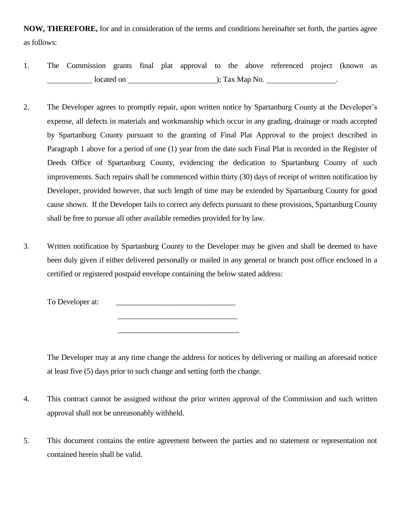**NOW, THEREFORE,** for and in consideration of the terms and conditions hereinafter set forth, the parties agree as follows:

- 1. The Commission grants final plat approval to the above referenced project (known as located on  $\qquad \qquad$  ); Tax Map No.
- 2. The Developer agrees to promptly repair, upon written notice by Spartanburg County at the Developer's expense, all defects in materials and workmanship which occur in any grading, drainage or roads accepted by Spartanburg County pursuant to the granting of Final Plat Approval to the project described in Paragraph 1 above for a period of one (1) year from the date such Final Plat is recorded in the Register of Deeds Office of Spartanburg County, evidencing the dedication to Spartanburg County of such improvements. Such repairs shall be commenced within thirty (30) days of receipt of written notification by Developer, provided however, that such length of time may be extended by Spartanburg County for good cause shown. If the Developer fails to correct any defects pursuant to these provisions, Spartanburg County shall be free to pursue all other available remedies provided for by law.
- 3. Written notification by Spartanburg County to the Developer may be given and shall be deemed to have been duly given if either delivered personally or mailed in any general or branch post office enclosed in a certified or registered postpaid envelope containing the below stated address:

\_\_\_\_\_\_\_\_\_\_\_\_\_\_\_\_\_\_\_\_\_\_\_\_\_\_\_\_\_\_\_

To Developer at:

 $\frac{1}{2}$  , and the set of the set of the set of the set of the set of the set of the set of the set of the set of the set of the set of the set of the set of the set of the set of the set of the set of the set of the set

The Developer may at any time change the address for notices by delivering or mailing an aforesaid notice at least five (5) days prior to such change and setting forth the change.

- 4. This contract cannot be assigned without the prior written approval of the Commission and such written approval shall not be unreasonably withheld.
- 5. This document contains the entire agreement between the parties and no statement or representation not contained herein shall be valid.